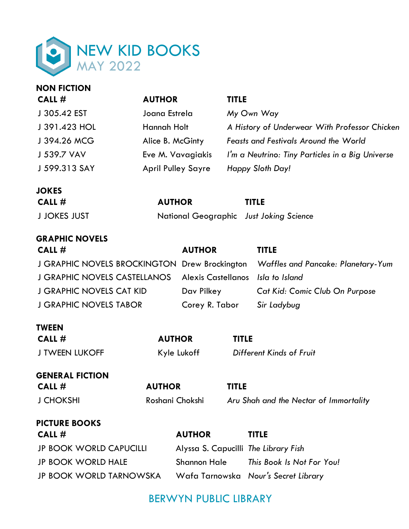

| <b>NON FICTION</b>                                             |                           |                                      |                                                  |                                        |  |
|----------------------------------------------------------------|---------------------------|--------------------------------------|--------------------------------------------------|----------------------------------------|--|
| CALL #                                                         | <b>AUTHOR</b>             |                                      | <b>TITLE</b>                                     |                                        |  |
| J 305.42 EST                                                   | Joana Estrela             |                                      | My Own Way                                       |                                        |  |
| J 391.423 HOL                                                  | <b>Hannah Holt</b>        |                                      | A History of Underwear With Professor Chicken    |                                        |  |
| J 394.26 MCG                                                   | Alice B. McGinty          |                                      | <b>Feasts and Festivals Around the World</b>     |                                        |  |
| J 539.7 VAV                                                    | Eve M. Vavagiakis         |                                      | I'm a Neutrino: Tiny Particles in a Big Universe |                                        |  |
| J 599.313 SAY                                                  | <b>April Pulley Sayre</b> |                                      | Happy Sloth Day!                                 |                                        |  |
| <b>JOKES</b>                                                   |                           |                                      |                                                  |                                        |  |
| CALL #                                                         | <b>AUTHOR</b>             |                                      | <b>TITLE</b>                                     |                                        |  |
| <b>J JOKES JUST</b><br>National Geographic Just Joking Science |                           |                                      |                                                  |                                        |  |
| <b>GRAPHIC NOVELS</b>                                          |                           |                                      |                                                  |                                        |  |
| CALL #<br><b>AUTHOR</b>                                        |                           |                                      | <b>TITLE</b>                                     |                                        |  |
| J GRAPHIC NOVELS BROCKINGTON Drew Brockington                  |                           |                                      | Waffles and Pancake: Planetary-Yum               |                                        |  |
| <b>J GRAPHIC NOVELS CASTELLANOS</b>                            | <b>Alexis Castellanos</b> |                                      | Isla to Island                                   |                                        |  |
| <b>J GRAPHIC NOVELS CAT KID</b>                                | Dav Pilkey                |                                      | Cat Kid: Comic Club On Purpose                   |                                        |  |
| <b>J GRAPHIC NOVELS TABOR</b>                                  |                           | Corey R. Tabor                       |                                                  | Sir Ladybug                            |  |
| <b>TWEEN</b>                                                   |                           |                                      |                                                  |                                        |  |
| CALL #                                                         | <b>AUTHOR</b>             |                                      | <b>TITLE</b>                                     |                                        |  |
| <b>J TWEEN LUKOFF</b>                                          | Kyle Lukoff               |                                      | Different Kinds of Fruit                         |                                        |  |
| <b>GENERAL FICTION</b>                                         |                           |                                      |                                                  |                                        |  |
| CALL #                                                         | <b>AUTHOR</b>             |                                      | <b>TITLE</b>                                     |                                        |  |
| <b>J CHOKSHI</b>                                               |                           | Roshani Chokshi                      |                                                  | Aru Shah and the Nectar of Immortality |  |
| <b>PICTURE BOOKS</b>                                           |                           |                                      |                                                  |                                        |  |
| CALL #                                                         |                           | <b>AUTHOR</b>                        |                                                  | <b>TITLE</b>                           |  |
| <b>JP BOOK WORLD CAPUCILLI</b>                                 |                           | Alyssa S. Capucilli The Library Fish |                                                  |                                        |  |
| <b>JP BOOK WORLD HALE</b>                                      |                           | <b>Shannon Hale</b>                  |                                                  | This Book Is Not For You!              |  |
| <b>JP BOOK WORLD TARNOWSKA</b>                                 |                           |                                      |                                                  | Wafa Tarnowska Nour's Secret Library   |  |

# BERWYN PUBLIC LIBRARY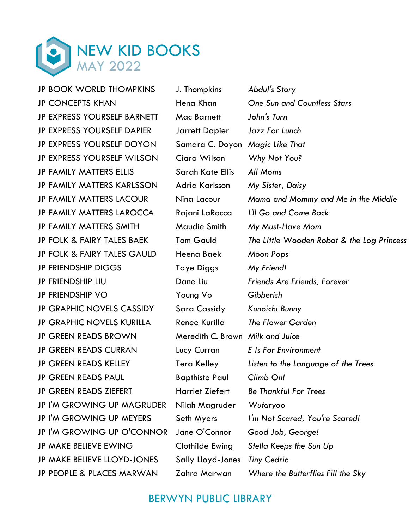

JP BOOK WORLD THOMPKINS J. Thompkins *Abdul's Story*  JP EXPRESS YOURSELF BARNETT Mac Barnett *John's Turn*  JP EXPRESS YOURSELF DAPIER Jarrett Dapier *Jazz For Lunch*  JP EXPRESS YOURSELF DOYON Samara C. Doyon *Magic Like That*  JP EXPRESS YOURSELF WILSON Ciara Wilson *Why Not You?*  JP FAMILY MATTERS ELLIS Sarah Kate Ellis *All Moms* JP FAMILY MATTERS KARLSSON Adria Karlsson *My Sister, Daisy*  JP FOLK & FAIRY TALES GAULD Heena Baek *Moon Pops*  JP FRIENDSHIP DIGGS Taye Diggs *My Friend!*  JP FRIENDSHIP VO Young Vo *Gibberish*  JP GRAPHIC NOVELS CASSIDY Sara Cassidy *Kunoichi Bunny*  JP GREEN READS BROWN Meredith C. Brown *Milk and Juice*  JP GREEN READS PAUL Bapthiste Paul *Climb On!* JP I'M GROWING UP MAGRUDER Nilah Magruder *Wutaryoo* JP MAKE BELIEVE LLOYD-JONES Sally Lloyd-Jones *Tiny Cedric* 

JP CONCEPTS KHAN Hena Khan *One Sun and Countless Stars* JP FAMILY MATTERS LACOUR Nina Lacour *Mama and Mommy and Me in the Middle*  JP FAMILY MATTERS LAROCCA Rajani LaRocca *I'll Go and Come Back*  JP FAMILY MATTERS SMITH Maudie Smith *My Must-Have Mom*  JP FOLK & FAIRY TALES BAEK Tom Gauld *The LIttle Wooden Robot & the Log Princess*  JP FRIENDSHIP LIU Dane Liu *Friends Are Friends, Forever*  JP GRAPHIC NOVELS KURILLA Renee Kurilla *The Flower Garden* JP GREEN READS CURRAN Lucy Curran *E Is For Environment*  JP GREEN READS KELLEY Tera Kelley *Listen to the Language of the Trees*  JP GREEN READS ZIEFERT Harriet Ziefert *Be Thankful For Trees*  JP I'M GROWING UP MEYERS Seth Myers *I'm Not Scared, You're Scared!*  JP I'M GROWING UP O'CONNOR Jane O'Connor *Good Job, George!*  JP MAKE BELIEVE EWING Clothilde Ewing *Stella Keeps the Sun Up* JP PEOPLE & PLACES MARWAN Zahra Marwan *Where the Butterflies Fill the Sky* 

### BERWYN PUBLIC LIBRARY